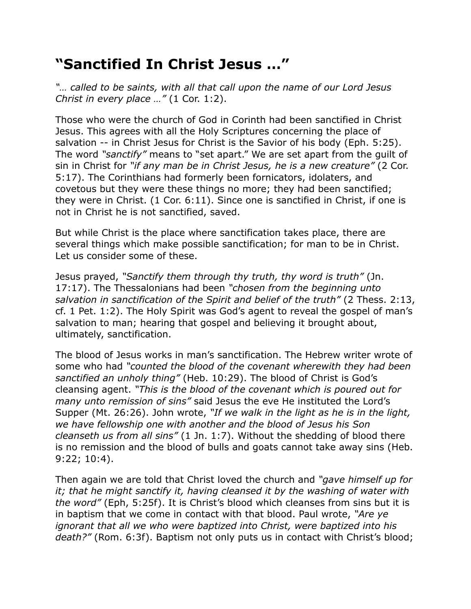## **"Sanctified In Christ Jesus …"**

*"… called to be saints, with all that call upon the name of our Lord Jesus Christ in every place …"* (1 Cor. 1:2).

Those who were the church of God in Corinth had been sanctified in Christ Jesus. This agrees with all the Holy Scriptures concerning the place of salvation -- in Christ Jesus for Christ is the Savior of his body (Eph. 5:25). The word *"sanctify"* means to "set apart." We are set apart from the guilt of sin in Christ for *"if any man be in Christ Jesus, he is a new creature"* (2 Cor. 5:17). The Corinthians had formerly been fornicators, idolaters, and covetous but they were these things no more; they had been sanctified; they were in Christ. (1 Cor. 6:11). Since one is sanctified in Christ, if one is not in Christ he is not sanctified, saved.

But while Christ is the place where sanctification takes place, there are several things which make possible sanctification; for man to be in Christ. Let us consider some of these.

Jesus prayed, *"Sanctify them through thy truth, thy word is truth"* (Jn. 17:17). The Thessalonians had been *"chosen from the beginning unto salvation in sanctification of the Spirit and belief of the truth"* (2 Thess. 2:13, cf. 1 Pet. 1:2). The Holy Spirit was God's agent to reveal the gospel of man's salvation to man; hearing that gospel and believing it brought about, ultimately, sanctification.

The blood of Jesus works in man's sanctification. The Hebrew writer wrote of some who had *"counted the blood of the covenant wherewith they had been sanctified an unholy thing"* (Heb. 10:29). The blood of Christ is God's cleansing agent. *"This is the blood of the covenant which is poured out for many unto remission of sins"* said Jesus the eve He instituted the Lord's Supper (Mt. 26:26). John wrote, *"If we walk in the light as he is in the light, we have fellowship one with another and the blood of Jesus his Son cleanseth us from all sins"* (1 Jn. 1:7). Without the shedding of blood there is no remission and the blood of bulls and goats cannot take away sins (Heb. 9:22; 10:4).

Then again we are told that Christ loved the church and *"gave himself up for it; that he might sanctify it, having cleansed it by the washing of water with the word"* (Eph, 5:25f). It is Christ's blood which cleanses from sins but it is in baptism that we come in contact with that blood. Paul wrote, *"Are ye ignorant that all we who were baptized into Christ, were baptized into his death?"* (Rom. 6:3f). Baptism not only puts us in contact with Christ's blood;